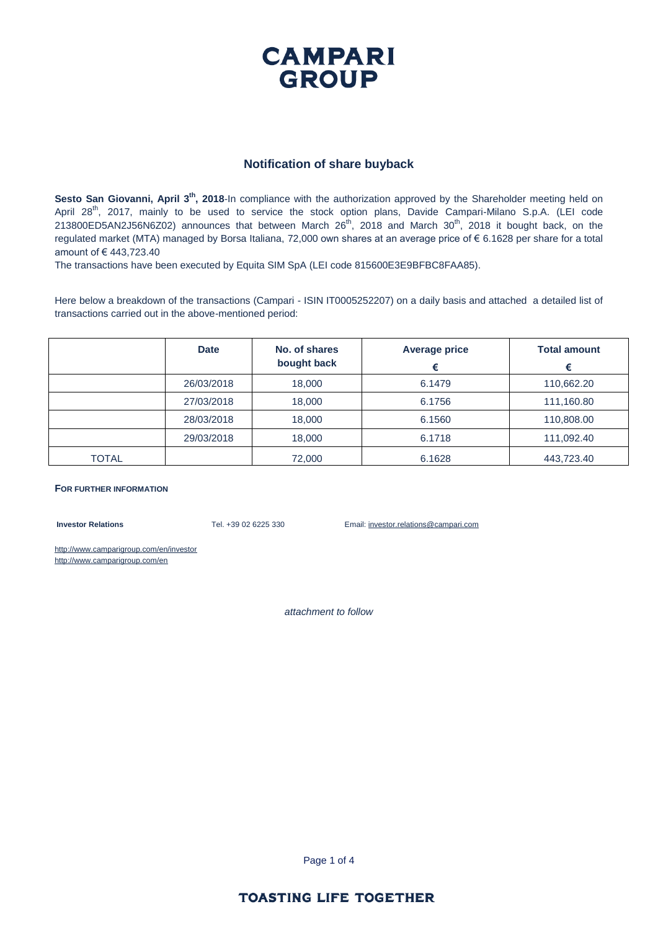

#### **Notification of share buyback**

Sesto San Giovanni, April 3<sup>th</sup>, 2018-In compliance with the authorization approved by the Shareholder meeting held on April 28<sup>th</sup>, 2017, mainly to be used to service the stock option plans, Davide Campari-Milano S.p.A. (LEI code 213800ED5AN2J56N6Z02) announces that between March  $26<sup>th</sup>$ , 2018 and March 30<sup>th</sup>, 2018 it bought back, on the regulated market (MTA) managed by Borsa Italiana, 72,000 own shares at an average price of € 6.1628 per share for a total amount of € 443,723.40

The transactions have been executed by Equita SIM SpA (LEI code 815600E3E9BFBC8FAA85).

Here below a breakdown of the transactions (Campari - ISIN IT0005252207) on a daily basis and attached a detailed list of transactions carried out in the above-mentioned period:

|              | <b>Date</b> | No. of shares<br>bought back | <b>Average price</b><br>€ | <b>Total amount</b><br>€ |
|--------------|-------------|------------------------------|---------------------------|--------------------------|
|              | 26/03/2018  | 18,000                       | 6.1479                    | 110,662.20               |
|              | 27/03/2018  | 18,000                       | 6.1756                    | 111,160.80               |
|              | 28/03/2018  | 18,000                       | 6.1560                    | 110,808.00               |
|              | 29/03/2018  | 18,000                       | 6.1718                    | 111,092.40               |
| <b>TOTAL</b> |             | 72,000                       | 6.1628                    | 443,723.40               |

#### **FOR FURTHER INFORMATION**

**Investor Relations** Tel. +39 02 6225 330 Email: investor.relations@campari.com

http://www.camparigroup.com/en/investor http://www.camparigroup.com/en

*attachment to follow*

Page 1 of 4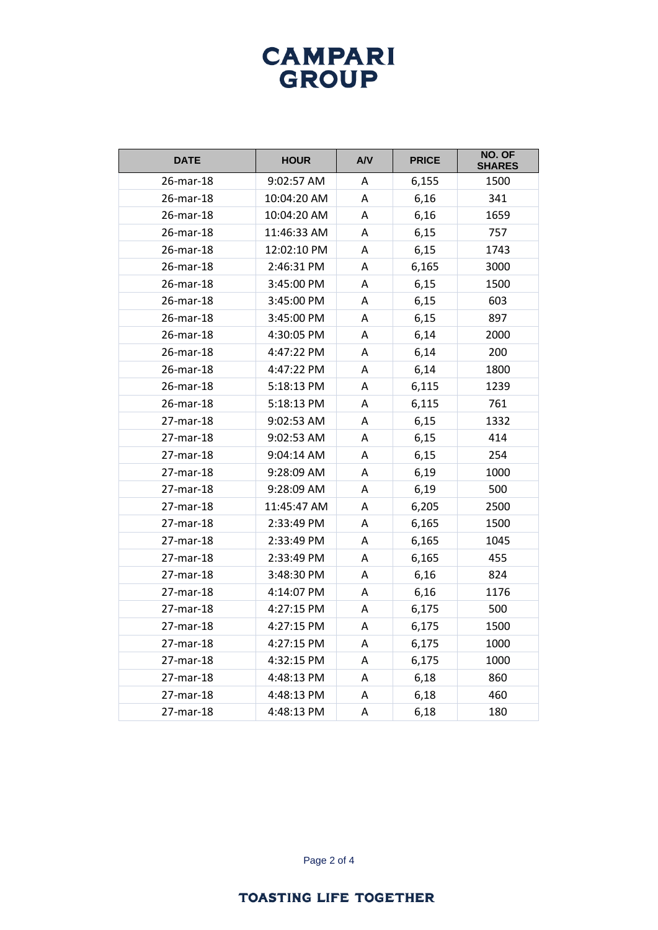# **CAMPARI**<br>GROUP

| <b>DATE</b> | <b>HOUR</b> | A/V | <b>PRICE</b> | NO. OF<br><b>SHARES</b> |
|-------------|-------------|-----|--------------|-------------------------|
| 26-mar-18   | 9:02:57 AM  | A   | 6,155        | 1500                    |
| 26-mar-18   | 10:04:20 AM | А   | 6,16         | 341                     |
| 26-mar-18   | 10:04:20 AM | А   | 6,16         | 1659                    |
| 26-mar-18   | 11:46:33 AM | A   | 6,15         | 757                     |
| 26-mar-18   | 12:02:10 PM | Α   | 6,15         | 1743                    |
| 26-mar-18   | 2:46:31 PM  | А   | 6,165        | 3000                    |
| 26-mar-18   | 3:45:00 PM  | A   | 6,15         | 1500                    |
| 26-mar-18   | 3:45:00 PM  | Α   | 6,15         | 603                     |
| 26-mar-18   | 3:45:00 PM  | Α   | 6,15         | 897                     |
| 26-mar-18   | 4:30:05 PM  | А   | 6,14         | 2000                    |
| 26-mar-18   | 4:47:22 PM  | A   | 6,14         | 200                     |
| 26-mar-18   | 4:47:22 PM  | А   | 6,14         | 1800                    |
| 26-mar-18   | 5:18:13 PM  | A   | 6,115        | 1239                    |
| 26-mar-18   | 5:18:13 PM  | A   | 6,115        | 761                     |
| 27-mar-18   | 9:02:53 AM  | A   | 6,15         | 1332                    |
| 27-mar-18   | 9:02:53 AM  | А   | 6,15         | 414                     |
| 27-mar-18   | 9:04:14 AM  | A   | 6,15         | 254                     |
| 27-mar-18   | 9:28:09 AM  | A   | 6,19         | 1000                    |
| 27-mar-18   | 9:28:09 AM  | A   | 6,19         | 500                     |
| 27-mar-18   | 11:45:47 AM | A   | 6,205        | 2500                    |
| 27-mar-18   | 2:33:49 PM  | Α   | 6,165        | 1500                    |
| 27-mar-18   | 2:33:49 PM  | A   | 6,165        | 1045                    |
| 27-mar-18   | 2:33:49 PM  | A   | 6,165        | 455                     |
| 27-mar-18   | 3:48:30 PM  | A   | 6,16         | 824                     |
| 27-mar-18   | 4:14:07 PM  | А   | 6,16         | 1176                    |
| 27-mar-18   | 4:27:15 PM  | A   | 6,175        | 500                     |
| 27-mar-18   | 4:27:15 PM  | Α   | 6,175        | 1500                    |
| 27-mar-18   | 4:27:15 PM  | Α   | 6,175        | 1000                    |
| 27-mar-18   | 4:32:15 PM  | Α   | 6,175        | 1000                    |
| 27-mar-18   | 4:48:13 PM  | A   | 6,18         | 860                     |
| 27-mar-18   | 4:48:13 PM  | A   | 6,18         | 460                     |
| 27-mar-18   | 4:48:13 PM  | A   | 6,18         | 180                     |

Page 2 of 4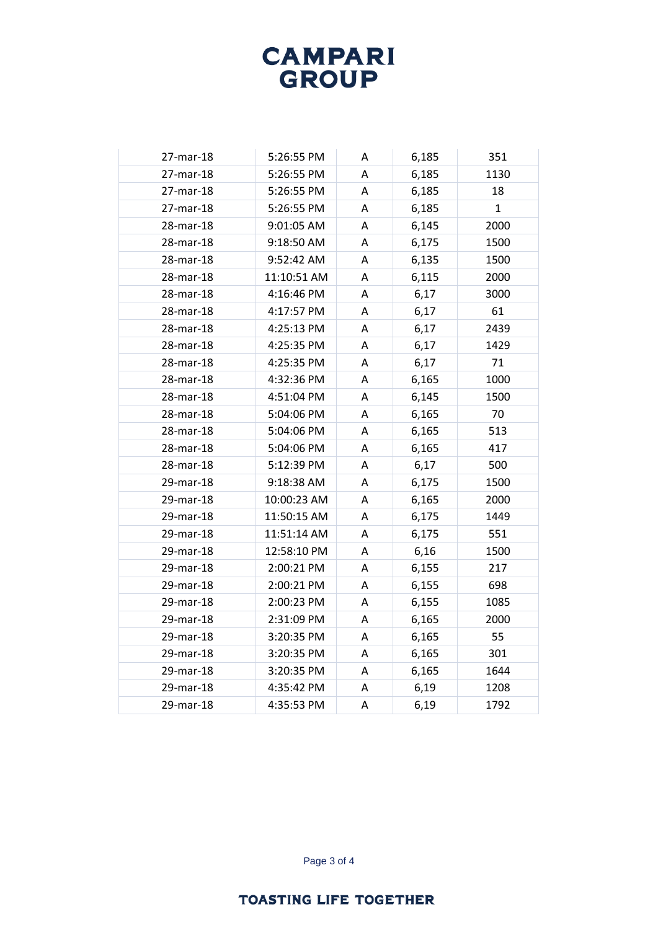# **CAMPARI**<br>GROUP

| 27-mar-18 | 5:26:55 PM  | A | 6,185 | 351          |
|-----------|-------------|---|-------|--------------|
| 27-mar-18 | 5:26:55 PM  | Α | 6,185 | 1130         |
| 27-mar-18 | 5:26:55 PM  | A | 6,185 | 18           |
| 27-mar-18 | 5:26:55 PM  | A | 6,185 | $\mathbf{1}$ |
| 28-mar-18 | 9:01:05 AM  | A | 6,145 | 2000         |
| 28-mar-18 | 9:18:50 AM  | A | 6,175 | 1500         |
| 28-mar-18 | 9:52:42 AM  | A | 6,135 | 1500         |
| 28-mar-18 | 11:10:51 AM | A | 6,115 | 2000         |
| 28-mar-18 | 4:16:46 PM  | Α | 6,17  | 3000         |
| 28-mar-18 | 4:17:57 PM  | A | 6,17  | 61           |
| 28-mar-18 | 4:25:13 PM  | A | 6,17  | 2439         |
| 28-mar-18 | 4:25:35 PM  | Α | 6,17  | 1429         |
| 28-mar-18 | 4:25:35 PM  | A | 6,17  | 71           |
| 28-mar-18 | 4:32:36 PM  | Α | 6,165 | 1000         |
| 28-mar-18 | 4:51:04 PM  | A | 6,145 | 1500         |
| 28-mar-18 | 5:04:06 PM  | A | 6,165 | 70           |
| 28-mar-18 | 5:04:06 PM  | A | 6,165 | 513          |
| 28-mar-18 | 5:04:06 PM  | A | 6,165 | 417          |
| 28-mar-18 | 5:12:39 PM  | A | 6,17  | 500          |
| 29-mar-18 | 9:18:38 AM  | A | 6,175 | 1500         |
| 29-mar-18 | 10:00:23 AM | A | 6,165 | 2000         |
| 29-mar-18 | 11:50:15 AM | A | 6,175 | 1449         |
| 29-mar-18 | 11:51:14 AM | Α | 6,175 | 551          |
| 29-mar-18 | 12:58:10 PM | A | 6,16  | 1500         |
| 29-mar-18 | 2:00:21 PM  | A | 6,155 | 217          |
| 29-mar-18 | 2:00:21 PM  | A | 6,155 | 698          |
| 29-mar-18 | 2:00:23 PM  | A | 6,155 | 1085         |
| 29-mar-18 | 2:31:09 PM  | A | 6,165 | 2000         |
| 29-mar-18 | 3:20:35 PM  | A | 6,165 | 55           |
| 29-mar-18 | 3:20:35 PM  | A | 6,165 | 301          |
| 29-mar-18 | 3:20:35 PM  | A | 6,165 | 1644         |
| 29-mar-18 | 4:35:42 PM  | A | 6,19  | 1208         |
| 29-mar-18 | 4:35:53 PM  | A | 6,19  | 1792         |

Page 3 of 4

#### **TOASTING LIFE TOGETHER**